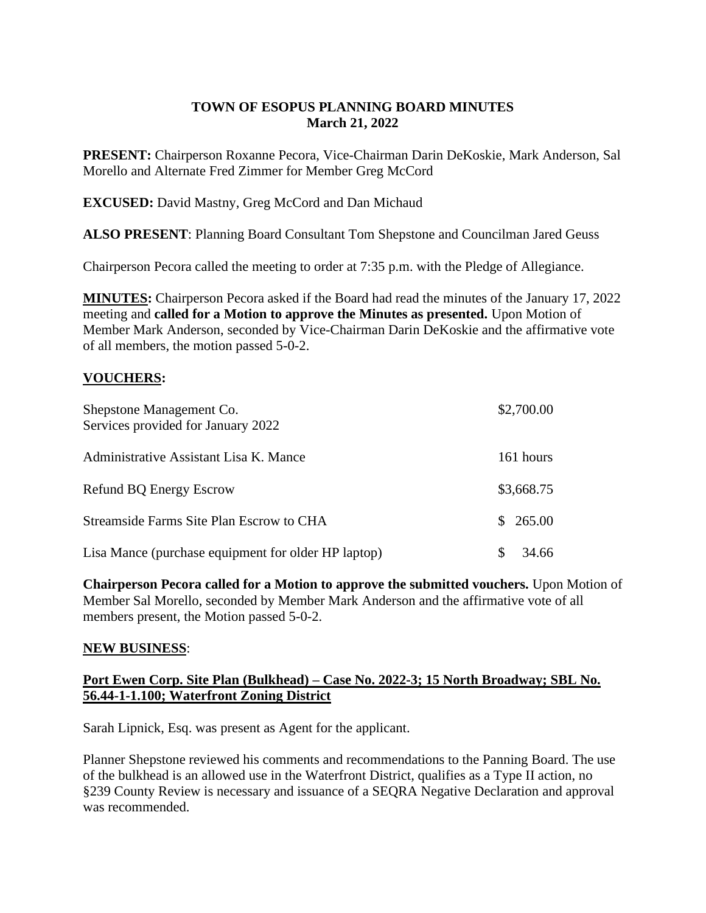# **TOWN OF ESOPUS PLANNING BOARD MINUTES March 21, 2022**

**PRESENT:** Chairperson Roxanne Pecora, Vice-Chairman Darin DeKoskie, Mark Anderson, Sal Morello and Alternate Fred Zimmer for Member Greg McCord

**EXCUSED:** David Mastny, Greg McCord and Dan Michaud

**ALSO PRESENT**: Planning Board Consultant Tom Shepstone and Councilman Jared Geuss

Chairperson Pecora called the meeting to order at 7:35 p.m. with the Pledge of Allegiance.

**MINUTES:** Chairperson Pecora asked if the Board had read the minutes of the January 17, 2022 meeting and **called for a Motion to approve the Minutes as presented.** Upon Motion of Member Mark Anderson, seconded by Vice-Chairman Darin DeKoskie and the affirmative vote of all members, the motion passed 5-0-2.

# **VOUCHERS:**

| Shepstone Management Co.<br>Services provided for January 2022 | \$2,700.00  |
|----------------------------------------------------------------|-------------|
| Administrative Assistant Lisa K. Mance                         | 161 hours   |
| Refund BQ Energy Escrow                                        | \$3,668.75  |
| Streamside Farms Site Plan Escrow to CHA                       | \$265.00    |
| Lisa Mance (purchase equipment for older HP laptop)            | S.<br>34.66 |

**Chairperson Pecora called for a Motion to approve the submitted vouchers.** Upon Motion of Member Sal Morello, seconded by Member Mark Anderson and the affirmative vote of all members present, the Motion passed 5-0-2.

### **NEW BUSINESS**:

# **Port Ewen Corp. Site Plan (Bulkhead) – Case No. 2022-3; 15 North Broadway; SBL No. 56.44-1-1.100; Waterfront Zoning District**

Sarah Lipnick, Esq. was present as Agent for the applicant.

Planner Shepstone reviewed his comments and recommendations to the Panning Board. The use of the bulkhead is an allowed use in the Waterfront District, qualifies as a Type II action, no §239 County Review is necessary and issuance of a SEQRA Negative Declaration and approval was recommended.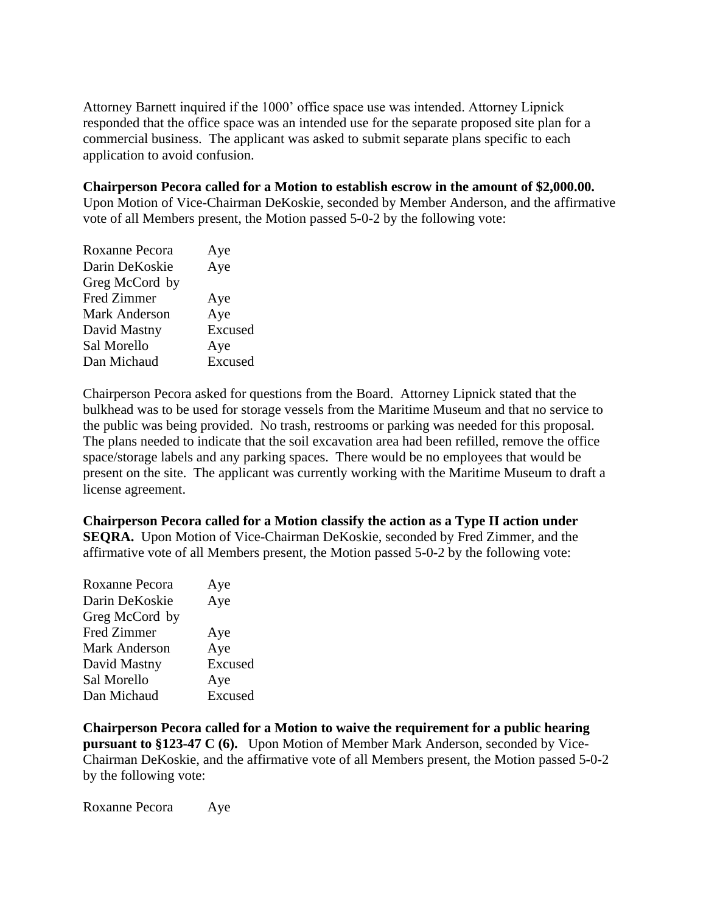Attorney Barnett inquired if the 1000' office space use was intended. Attorney Lipnick responded that the office space was an intended use for the separate proposed site plan for a commercial business. The applicant was asked to submit separate plans specific to each application to avoid confusion.

## **Chairperson Pecora called for a Motion to establish escrow in the amount of \$2,000.00.**

Upon Motion of Vice-Chairman DeKoskie, seconded by Member Anderson, and the affirmative vote of all Members present, the Motion passed 5-0-2 by the following vote:

| Roxanne Pecora     | Aye     |
|--------------------|---------|
| Darin DeKoskie     | Aye     |
| Greg McCord by     |         |
| <b>Fred Zimmer</b> | Aye     |
| Mark Anderson      | Aye     |
| David Mastny       | Excused |
| Sal Morello        | Aye     |
| Dan Michaud        | Excused |
|                    |         |

Chairperson Pecora asked for questions from the Board. Attorney Lipnick stated that the bulkhead was to be used for storage vessels from the Maritime Museum and that no service to the public was being provided. No trash, restrooms or parking was needed for this proposal. The plans needed to indicate that the soil excavation area had been refilled, remove the office space/storage labels and any parking spaces. There would be no employees that would be present on the site. The applicant was currently working with the Maritime Museum to draft a license agreement.

**Chairperson Pecora called for a Motion classify the action as a Type II action under SEQRA.** Upon Motion of Vice-Chairman DeKoskie, seconded by Fred Zimmer, and the affirmative vote of all Members present, the Motion passed 5-0-2 by the following vote:

| Roxanne Pecora       | Aye     |
|----------------------|---------|
| Darin DeKoskie       | Aye     |
| Greg McCord by       |         |
| Fred Zimmer          | Aye     |
| <b>Mark Anderson</b> | Aye     |
| David Mastny         | Excused |
| Sal Morello          | Aye     |
| Dan Michaud          | Excused |
|                      |         |

**Chairperson Pecora called for a Motion to waive the requirement for a public hearing pursuant to §123-47 C (6).** Upon Motion of Member Mark Anderson, seconded by Vice-Chairman DeKoskie, and the affirmative vote of all Members present, the Motion passed 5-0-2 by the following vote:

Roxanne Pecora Aye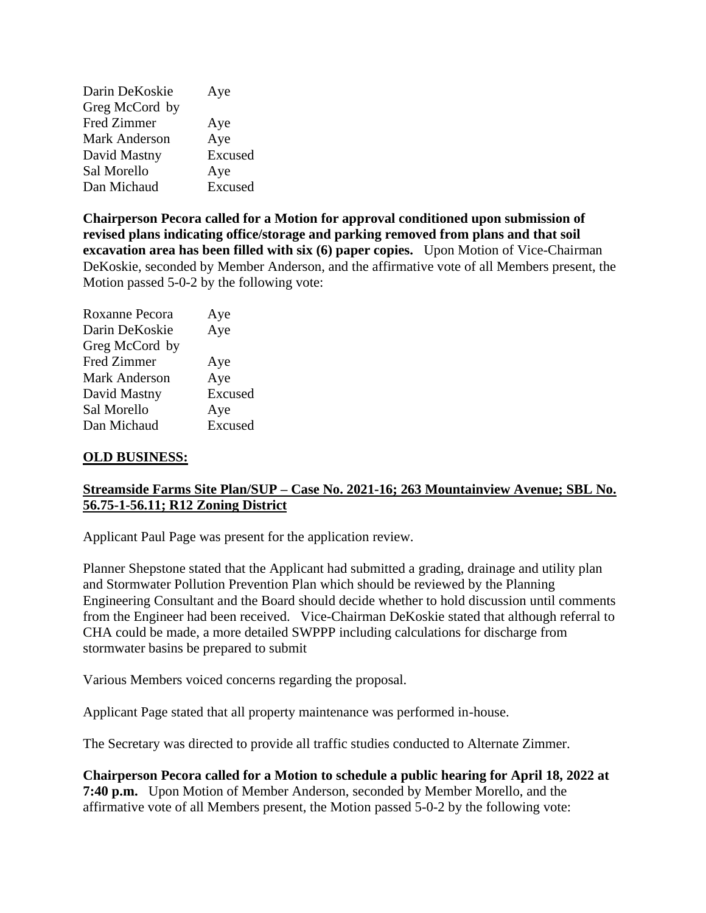| Darin DeKoskie     | Aye     |
|--------------------|---------|
| Greg McCord by     |         |
| <b>Fred Zimmer</b> | Aye     |
| Mark Anderson      | Aye     |
| David Mastny       | Excused |
| Sal Morello        | Aye     |
| Dan Michaud        | Excused |

**Chairperson Pecora called for a Motion for approval conditioned upon submission of revised plans indicating office/storage and parking removed from plans and that soil excavation area has been filled with six (6) paper copies.** Upon Motion of Vice-Chairman DeKoskie, seconded by Member Anderson, and the affirmative vote of all Members present, the Motion passed 5-0-2 by the following vote:

| Roxanne Pecora     | Aye     |
|--------------------|---------|
| Darin DeKoskie     | Aye     |
| Greg McCord by     |         |
| <b>Fred Zimmer</b> | Aye     |
| Mark Anderson      | Aye     |
| David Mastny       | Excused |
| Sal Morello        | Aye     |
| Dan Michaud        | Excused |
|                    |         |

### **OLD BUSINESS:**

# **Streamside Farms Site Plan/SUP – Case No. 2021-16; 263 Mountainview Avenue; SBL No. 56.75-1-56.11; R12 Zoning District**

Applicant Paul Page was present for the application review.

Planner Shepstone stated that the Applicant had submitted a grading, drainage and utility plan and Stormwater Pollution Prevention Plan which should be reviewed by the Planning Engineering Consultant and the Board should decide whether to hold discussion until comments from the Engineer had been received. Vice-Chairman DeKoskie stated that although referral to CHA could be made, a more detailed SWPPP including calculations for discharge from stormwater basins be prepared to submit

Various Members voiced concerns regarding the proposal.

Applicant Page stated that all property maintenance was performed in-house.

The Secretary was directed to provide all traffic studies conducted to Alternate Zimmer.

**Chairperson Pecora called for a Motion to schedule a public hearing for April 18, 2022 at 7:40 p.m.** Upon Motion of Member Anderson, seconded by Member Morello, and the affirmative vote of all Members present, the Motion passed 5-0-2 by the following vote: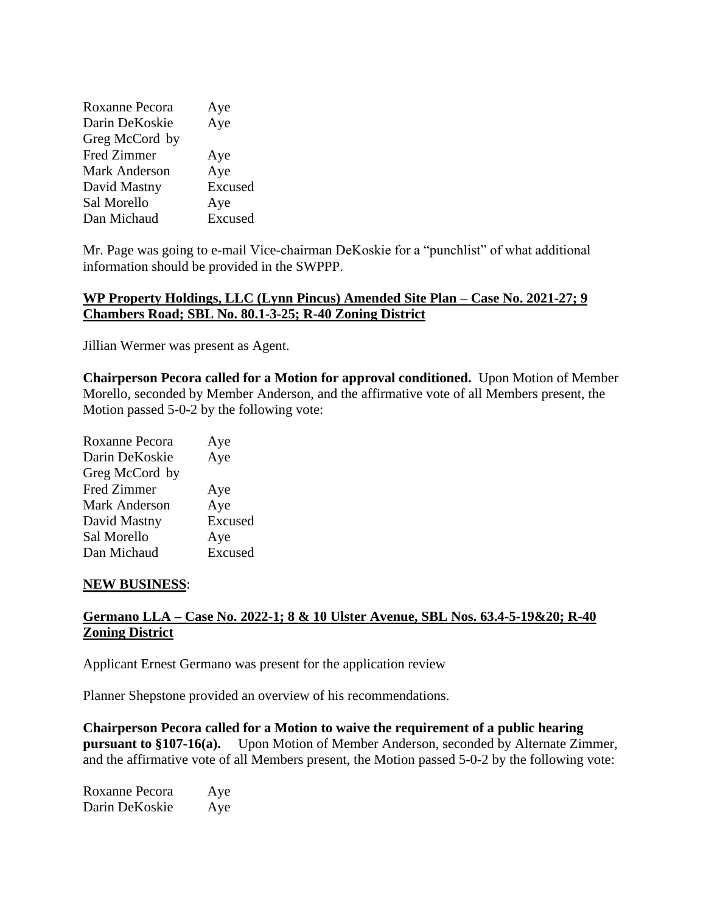| Roxanne Pecora       | Aye     |
|----------------------|---------|
| Darin DeKoskie       | Aye     |
| Greg McCord by       |         |
| <b>Fred Zimmer</b>   | Aye     |
| <b>Mark Anderson</b> | Aye     |
| David Mastny         | Excused |
| Sal Morello          | Aye     |
| Dan Michaud          | Excused |

Mr. Page was going to e-mail Vice-chairman DeKoskie for a "punchlist" of what additional information should be provided in the SWPPP.

## **WP Property Holdings, LLC (Lynn Pincus) Amended Site Plan – Case No. 2021-27; 9 Chambers Road; SBL No. 80.1-3-25; R-40 Zoning District**

Jillian Wermer was present as Agent.

**Chairperson Pecora called for a Motion for approval conditioned.** Upon Motion of Member Morello, seconded by Member Anderson, and the affirmative vote of all Members present, the Motion passed 5-0-2 by the following vote:

| Aye     |
|---------|
| Aye     |
|         |
| Aye     |
| Aye     |
| Excused |
| Aye     |
| Excused |
|         |

#### **NEW BUSINESS**:

# **Germano LLA – Case No. 2022-1; 8 & 10 Ulster Avenue, SBL Nos. 63.4-5-19&20; R-40 Zoning District**

Applicant Ernest Germano was present for the application review

Planner Shepstone provided an overview of his recommendations.

**Chairperson Pecora called for a Motion to waive the requirement of a public hearing pursuant to §107-16(a).** Upon Motion of Member Anderson, seconded by Alternate Zimmer, and the affirmative vote of all Members present, the Motion passed 5-0-2 by the following vote:

| Roxanne Pecora | Aye |
|----------------|-----|
| Darin DeKoskie | Aye |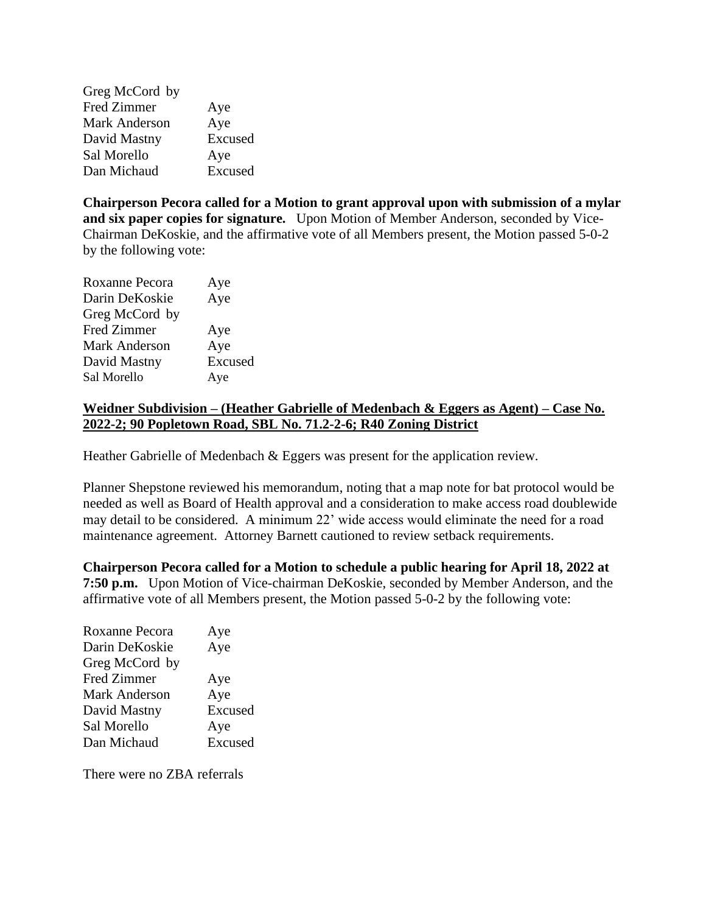Greg McCord by Fred Zimmer Aye Mark Anderson Aye David Mastny Excused Sal Morello Aye Dan Michaud Excused

**Chairperson Pecora called for a Motion to grant approval upon with submission of a mylar and six paper copies for signature.** Upon Motion of Member Anderson, seconded by Vice-Chairman DeKoskie, and the affirmative vote of all Members present, the Motion passed 5-0-2 by the following vote:

| Roxanne Pecora | Aye     |
|----------------|---------|
| Darin DeKoskie | Aye     |
| Greg McCord by |         |
| Fred Zimmer    | Aye     |
| Mark Anderson  | Aye     |
| David Mastny   | Excused |
| Sal Morello    | Aye     |

## **Weidner Subdivision – (Heather Gabrielle of Medenbach & Eggers as Agent) – Case No. 2022-2; 90 Popletown Road, SBL No. 71.2-2-6; R40 Zoning District**

Heather Gabrielle of Medenbach & Eggers was present for the application review.

Planner Shepstone reviewed his memorandum, noting that a map note for bat protocol would be needed as well as Board of Health approval and a consideration to make access road doublewide may detail to be considered. A minimum 22' wide access would eliminate the need for a road maintenance agreement. Attorney Barnett cautioned to review setback requirements.

**Chairperson Pecora called for a Motion to schedule a public hearing for April 18, 2022 at 7:50 p.m.** Upon Motion of Vice-chairman DeKoskie, seconded by Member Anderson, and the affirmative vote of all Members present, the Motion passed 5-0-2 by the following vote:

| Roxanne Pecora     | Aye     |
|--------------------|---------|
| Darin DeKoskie     | Aye     |
| Greg McCord by     |         |
| <b>Fred Zimmer</b> | Aye     |
| Mark Anderson      | Aye     |
| David Mastny       | Excused |
| Sal Morello        | Aye     |
| Dan Michaud        | Excused |

There were no ZBA referrals